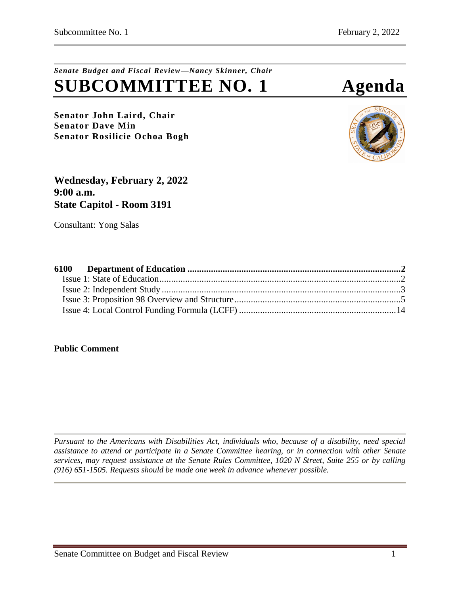# *Senate Budget and Fiscal Review—Nancy Skinner, Chair* **SUBCOMMITTEE NO. 1 Agenda**

**Senator John Laird, Chair Senator Dave Min Senator Rosilicie Ochoa Bogh**



**Wednesday, February 2, 2022 9:00 a.m. State Capitol - Room 3191**

Consultant: Yong Salas

## **Public Comment**

*Pursuant to the Americans with Disabilities Act, individuals who, because of a disability, need special assistance to attend or participate in a Senate Committee hearing, or in connection with other Senate services, may request assistance at the Senate Rules Committee, 1020 N Street, Suite 255 or by calling (916) 651-1505. Requests should be made one week in advance whenever possible.*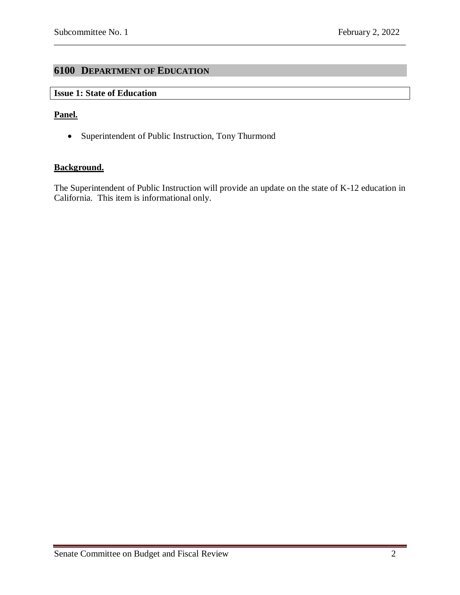# <span id="page-1-0"></span>**6100 DEPARTMENT OF EDUCATION**

# <span id="page-1-1"></span>**Issue 1: State of Education**

### **Panel.**

• Superintendent of Public Instruction, Tony Thurmond

### **Background.**

The Superintendent of Public Instruction will provide an update on the state of K-12 education in California. This item is informational only.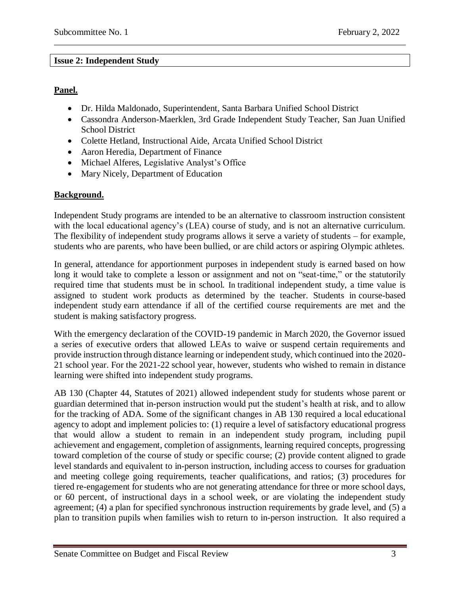# <span id="page-2-0"></span>**Issue 2: Independent Study**

# **Panel.**

- Dr. Hilda Maldonado, Superintendent, Santa Barbara Unified School District
- Cassondra Anderson-Maerklen, 3rd Grade Independent Study Teacher, San Juan Unified School District
- Colette Hetland, Instructional Aide, Arcata Unified School District
- Aaron Heredia, Department of Finance
- Michael Alferes, Legislative Analyst's Office
- Mary Nicely, Department of Education

# **Background.**

Independent Study programs are intended to be an alternative to classroom instruction consistent with the local educational agency's (LEA) course of study, and is not an alternative curriculum. The flexibility of independent study programs allows it serve a variety of students – for example, students who are parents, who have been bullied, or are child actors or aspiring Olympic athletes.

In general, attendance for apportionment purposes in independent study is earned based on how long it would take to complete a lesson or assignment and not on "seat-time," or the statutorily required time that students must be in school. In traditional independent study, a time value is assigned to student work products as determined by the teacher. Students in course-based independent study earn attendance if all of the certified course requirements are met and the student is making satisfactory progress.

With the emergency declaration of the COVID-19 pandemic in March 2020, the Governor issued a series of executive orders that allowed LEAs to waive or suspend certain requirements and provide instruction through distance learning or independent study, which continued into the 2020- 21 school year. For the 2021-22 school year, however, students who wished to remain in distance learning were shifted into independent study programs.

AB 130 (Chapter 44, Statutes of 2021) allowed independent study for students whose parent or guardian determined that in-person instruction would put the student's health at risk, and to allow for the tracking of ADA. Some of the significant changes in AB 130 required a local educational agency to adopt and implement policies to: (1) require a level of satisfactory educational progress that would allow a student to remain in an independent study program, including pupil achievement and engagement, completion of assignments, learning required concepts, progressing toward completion of the course of study or specific course; (2) provide content aligned to grade level standards and equivalent to in-person instruction, including access to courses for graduation and meeting college going requirements, teacher qualifications, and ratios; (3) procedures for tiered re-engagement for students who are not generating attendance for three or more school days, or 60 percent, of instructional days in a school week, or are violating the independent study agreement; (4) a plan for specified synchronous instruction requirements by grade level, and (5) a plan to transition pupils when families wish to return to in-person instruction. It also required a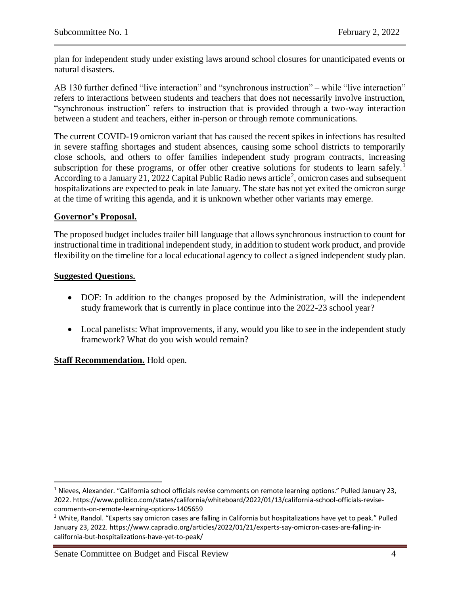plan for independent study under existing laws around school closures for unanticipated events or natural disasters.

AB 130 further defined "live interaction" and "synchronous instruction" – while "live interaction" refers to interactions between students and teachers that does not necessarily involve instruction, "synchronous instruction" refers to instruction that is provided through a two-way interaction between a student and teachers, either in-person or through remote communications.

The current COVID-19 omicron variant that has caused the recent spikes in infections has resulted in severe staffing shortages and student absences, causing some school districts to temporarily close schools, and others to offer families independent study program contracts, increasing subscription for these programs, or offer other creative solutions for students to learn safely.<sup>1</sup> According to a January 21, 2022 Capital Public Radio news article<sup>2</sup>, omicron cases and subsequent hospitalizations are expected to peak in late January. The state has not yet exited the omicron surge at the time of writing this agenda, and it is unknown whether other variants may emerge.

# **Governor's Proposal.**

The proposed budget includes trailer bill language that allows synchronous instruction to count for instructional time in traditional independent study, in addition to student work product, and provide flexibility on the timeline for a local educational agency to collect a signed independent study plan.

## **Suggested Questions.**

 $\overline{\phantom{a}}$ 

- DOF: In addition to the changes proposed by the Administration, will the independent study framework that is currently in place continue into the 2022-23 school year?
- Local panelists: What improvements, if any, would you like to see in the independent study framework? What do you wish would remain?

**Staff Recommendation.** Hold open.

 $1$  Nieves, Alexander. "California school officials revise comments on remote learning options." Pulled January 23, 2022. https://www.politico.com/states/california/whiteboard/2022/01/13/california-school-officials-revisecomments-on-remote-learning-options-1405659

<sup>&</sup>lt;sup>2</sup> White, Randol. "Experts say omicron cases are falling in California but hospitalizations have yet to peak." Pulled January 23, 2022. https://www.capradio.org/articles/2022/01/21/experts-say-omicron-cases-are-falling-incalifornia-but-hospitalizations-have-yet-to-peak/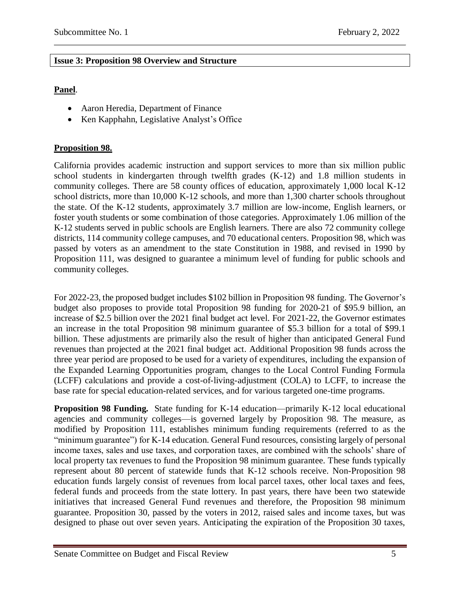# <span id="page-4-0"></span>**Issue 3: Proposition 98 Overview and Structure**

# **Panel**.

- Aaron Heredia, Department of Finance
- Ken Kapphahn, Legislative Analyst's Office

# **Proposition 98.**

California provides academic instruction and support services to more than six million public school students in kindergarten through twelfth grades (K-12) and 1.8 million students in community colleges. There are 58 county offices of education, approximately 1,000 local K-12 school districts, more than 10,000 K-12 schools, and more than 1,300 charter schools throughout the state. Of the K-12 students, approximately 3.7 million are low-income, English learners, or foster youth students or some combination of those categories. Approximately 1.06 million of the K-12 students served in public schools are English learners. There are also 72 community college districts, 114 community college campuses, and 70 educational centers. Proposition 98, which was passed by voters as an amendment to the state Constitution in 1988, and revised in 1990 by Proposition 111, was designed to guarantee a minimum level of funding for public schools and community colleges.

For 2022-23, the proposed budget includes \$102 billion in Proposition 98 funding. The Governor's budget also proposes to provide total Proposition 98 funding for 2020-21 of \$95.9 billion, an increase of \$2.5 billion over the 2021 final budget act level. For 2021-22, the Governor estimates an increase in the total Proposition 98 minimum guarantee of \$5.3 billion for a total of \$99.1 billion. These adjustments are primarily also the result of higher than anticipated General Fund revenues than projected at the 2021 final budget act. Additional Proposition 98 funds across the three year period are proposed to be used for a variety of expenditures, including the expansion of the Expanded Learning Opportunities program, changes to the Local Control Funding Formula (LCFF) calculations and provide a cost-of-living-adjustment (COLA) to LCFF, to increase the base rate for special education-related services, and for various targeted one-time programs.

**Proposition 98 Funding.** State funding for K-14 education—primarily K-12 local educational agencies and community colleges—is governed largely by Proposition 98. The measure, as modified by Proposition 111, establishes minimum funding requirements (referred to as the "minimum guarantee") for K-14 education. General Fund resources, consisting largely of personal income taxes, sales and use taxes, and corporation taxes, are combined with the schools' share of local property tax revenues to fund the Proposition 98 minimum guarantee. These funds typically represent about 80 percent of statewide funds that K-12 schools receive. Non-Proposition 98 education funds largely consist of revenues from local parcel taxes, other local taxes and fees, federal funds and proceeds from the state lottery. In past years, there have been two statewide initiatives that increased General Fund revenues and therefore, the Proposition 98 minimum guarantee. Proposition 30, passed by the voters in 2012, raised sales and income taxes, but was designed to phase out over seven years. Anticipating the expiration of the Proposition 30 taxes,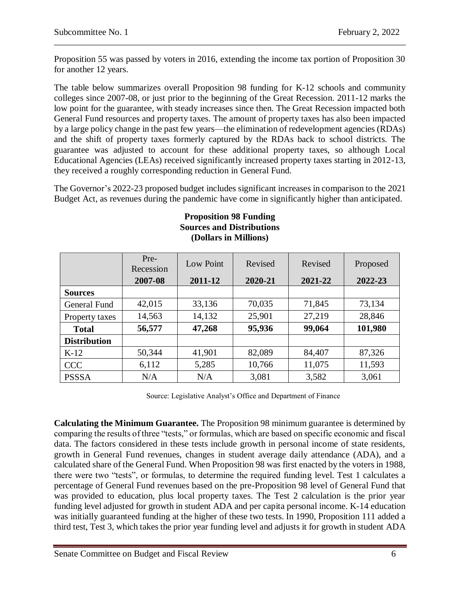Proposition 55 was passed by voters in 2016, extending the income tax portion of Proposition 30 for another 12 years.

The table below summarizes overall Proposition 98 funding for K-12 schools and community colleges since 2007-08, or just prior to the beginning of the Great Recession. 2011-12 marks the low point for the guarantee, with steady increases since then. The Great Recession impacted both General Fund resources and property taxes. The amount of property taxes has also been impacted by a large policy change in the past few years—the elimination of redevelopment agencies (RDAs) and the shift of property taxes formerly captured by the RDAs back to school districts. The guarantee was adjusted to account for these additional property taxes, so although Local Educational Agencies (LEAs) received significantly increased property taxes starting in 2012-13, they received a roughly corresponding reduction in General Fund.

The Governor's 2022-23 proposed budget includes significant increases in comparison to the 2021 Budget Act, as revenues during the pandemic have come in significantly higher than anticipated.

|                     | Pre-<br>Recession<br>2007-08 | Low Point<br>2011-12 | Revised<br>2020-21 | Revised<br>2021-22 | Proposed<br>2022-23 |
|---------------------|------------------------------|----------------------|--------------------|--------------------|---------------------|
|                     |                              |                      |                    |                    |                     |
| <b>Sources</b>      |                              |                      |                    |                    |                     |
| General Fund        | 42,015                       | 33,136               | 70,035             | 71,845             | 73,134              |
| Property taxes      | 14,563                       | 14,132               | 25,901             | 27,219             | 28,846              |
| <b>Total</b>        | 56,577                       | 47,268               | 95,936             | 99,064             | 101,980             |
| <b>Distribution</b> |                              |                      |                    |                    |                     |
| $K-12$              | 50,344                       | 41,901               | 82,089             | 84,407             | 87,326              |
| <b>CCC</b>          | 6,112                        | 5,285                | 10,766             | 11,075             | 11,593              |
| <b>PSSSA</b>        | N/A                          | N/A                  | 3,081              | 3,582              | 3,061               |

### **Proposition 98 Funding Sources and Distributions (Dollars in Millions)**

Source: Legislative Analyst's Office and Department of Finance

**Calculating the Minimum Guarantee.** The Proposition 98 minimum guarantee is determined by comparing the results of three "tests," or formulas, which are based on specific economic and fiscal data. The factors considered in these tests include growth in personal income of state residents, growth in General Fund revenues, changes in student average daily attendance (ADA), and a calculated share of the General Fund. When Proposition 98 was first enacted by the voters in 1988, there were two "tests", or formulas, to determine the required funding level. Test 1 calculates a percentage of General Fund revenues based on the pre-Proposition 98 level of General Fund that was provided to education, plus local property taxes. The Test 2 calculation is the prior year funding level adjusted for growth in student ADA and per capita personal income. K-14 education was initially guaranteed funding at the higher of these two tests. In 1990, Proposition 111 added a third test, Test 3, which takes the prior year funding level and adjusts it for growth in student ADA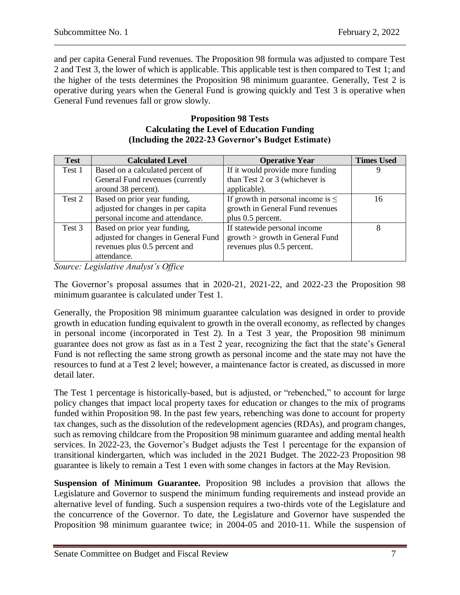and per capita General Fund revenues. The Proposition 98 formula was adjusted to compare Test 2 and Test 3, the lower of which is applicable. This applicable test is then compared to Test 1; and the higher of the tests determines the Proposition 98 minimum guarantee. Generally, Test 2 is operative during years when the General Fund is growing quickly and Test 3 is operative when General Fund revenues fall or grow slowly.

#### **Proposition 98 Tests Calculating the Level of Education Funding (Including the 2022-23 Governor's Budget Estimate)**

| <b>Test</b> | <b>Calculated Level</b>              | <b>Operative Year</b>                  | <b>Times Used</b> |
|-------------|--------------------------------------|----------------------------------------|-------------------|
| Test 1      | Based on a calculated percent of     | If it would provide more funding       |                   |
|             | General Fund revenues (currently     | than Test 2 or 3 (whichever is         |                   |
|             | around 38 percent).                  | applicable).                           |                   |
| Test 2      | Based on prior year funding,         | If growth in personal income is $\leq$ | 16                |
|             | adjusted for changes in per capita   | growth in General Fund revenues        |                   |
|             | personal income and attendance.      | plus 0.5 percent.                      |                   |
| Test 3      | Based on prior year funding,         | If statewide personal income           | 8                 |
|             | adjusted for changes in General Fund | $growth$ > growth in General Fund      |                   |
|             | revenues plus 0.5 percent and        | revenues plus 0.5 percent.             |                   |
|             | attendance.                          |                                        |                   |

*Source: Legislative Analyst's Office*

The Governor's proposal assumes that in 2020-21, 2021-22, and 2022-23 the Proposition 98 minimum guarantee is calculated under Test 1.

Generally, the Proposition 98 minimum guarantee calculation was designed in order to provide growth in education funding equivalent to growth in the overall economy, as reflected by changes in personal income (incorporated in Test 2). In a Test 3 year, the Proposition 98 minimum guarantee does not grow as fast as in a Test 2 year, recognizing the fact that the state's General Fund is not reflecting the same strong growth as personal income and the state may not have the resources to fund at a Test 2 level; however, a maintenance factor is created, as discussed in more detail later.

The Test 1 percentage is historically-based, but is adjusted, or "rebenched," to account for large policy changes that impact local property taxes for education or changes to the mix of programs funded within Proposition 98. In the past few years, rebenching was done to account for property tax changes, such as the dissolution of the redevelopment agencies (RDAs), and program changes, such as removing childcare from the Proposition 98 minimum guarantee and adding mental health services. In 2022-23, the Governor's Budget adjusts the Test 1 percentage for the expansion of transitional kindergarten, which was included in the 2021 Budget. The 2022-23 Proposition 98 guarantee is likely to remain a Test 1 even with some changes in factors at the May Revision.

**Suspension of Minimum Guarantee.** Proposition 98 includes a provision that allows the Legislature and Governor to suspend the minimum funding requirements and instead provide an alternative level of funding. Such a suspension requires a two-thirds vote of the Legislature and the concurrence of the Governor. To date, the Legislature and Governor have suspended the Proposition 98 minimum guarantee twice; in 2004-05 and 2010-11. While the suspension of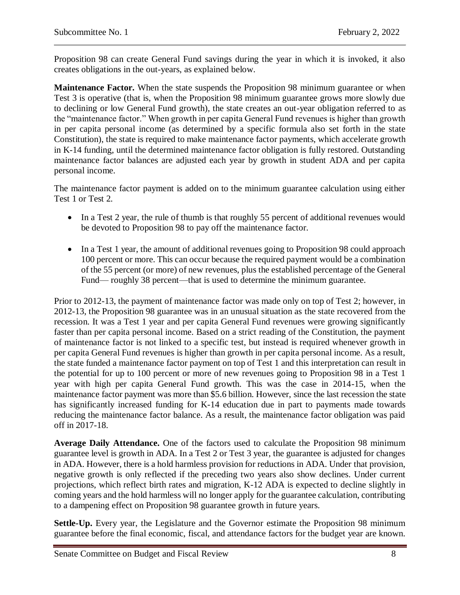Proposition 98 can create General Fund savings during the year in which it is invoked, it also creates obligations in the out-years, as explained below.

**Maintenance Factor.** When the state suspends the Proposition 98 minimum guarantee or when Test 3 is operative (that is, when the Proposition 98 minimum guarantee grows more slowly due to declining or low General Fund growth), the state creates an out-year obligation referred to as the "maintenance factor." When growth in per capita General Fund revenues is higher than growth in per capita personal income (as determined by a specific formula also set forth in the state Constitution), the state is required to make maintenance factor payments, which accelerate growth in K-14 funding, until the determined maintenance factor obligation is fully restored. Outstanding maintenance factor balances are adjusted each year by growth in student ADA and per capita personal income.

The maintenance factor payment is added on to the minimum guarantee calculation using either Test 1 or Test 2.

- In a Test 2 year, the rule of thumb is that roughly 55 percent of additional revenues would be devoted to Proposition 98 to pay off the maintenance factor.
- In a Test 1 year, the amount of additional revenues going to Proposition 98 could approach 100 percent or more. This can occur because the required payment would be a combination of the 55 percent (or more) of new revenues, plus the established percentage of the General Fund— roughly 38 percent—that is used to determine the minimum guarantee.

Prior to 2012-13, the payment of maintenance factor was made only on top of Test 2; however, in 2012-13, the Proposition 98 guarantee was in an unusual situation as the state recovered from the recession. It was a Test 1 year and per capita General Fund revenues were growing significantly faster than per capita personal income. Based on a strict reading of the Constitution, the payment of maintenance factor is not linked to a specific test, but instead is required whenever growth in per capita General Fund revenues is higher than growth in per capita personal income. As a result, the state funded a maintenance factor payment on top of Test 1 and this interpretation can result in the potential for up to 100 percent or more of new revenues going to Proposition 98 in a Test 1 year with high per capita General Fund growth. This was the case in 2014-15, when the maintenance factor payment was more than \$5.6 billion. However, since the last recession the state has significantly increased funding for K-14 education due in part to payments made towards reducing the maintenance factor balance. As a result, the maintenance factor obligation was paid off in 2017-18.

**Average Daily Attendance.** One of the factors used to calculate the Proposition 98 minimum guarantee level is growth in ADA. In a Test 2 or Test 3 year, the guarantee is adjusted for changes in ADA. However, there is a hold harmless provision for reductions in ADA. Under that provision, negative growth is only reflected if the preceding two years also show declines. Under current projections, which reflect birth rates and migration, K-12 ADA is expected to decline slightly in coming years and the hold harmless will no longer apply for the guarantee calculation, contributing to a dampening effect on Proposition 98 guarantee growth in future years.

**Settle-Up.** Every year, the Legislature and the Governor estimate the Proposition 98 minimum guarantee before the final economic, fiscal, and attendance factors for the budget year are known.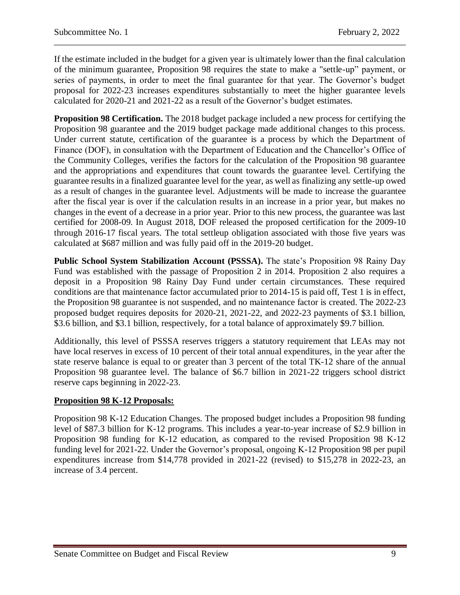If the estimate included in the budget for a given year is ultimately lower than the final calculation of the minimum guarantee, Proposition 98 requires the state to make a "settle-up" payment, or series of payments, in order to meet the final guarantee for that year. The Governor's budget proposal for 2022-23 increases expenditures substantially to meet the higher guarantee levels calculated for 2020-21 and 2021-22 as a result of the Governor's budget estimates.

**Proposition 98 Certification.** The 2018 budget package included a new process for certifying the Proposition 98 guarantee and the 2019 budget package made additional changes to this process. Under current statute, certification of the guarantee is a process by which the Department of Finance (DOF), in consultation with the Department of Education and the Chancellor's Office of the Community Colleges, verifies the factors for the calculation of the Proposition 98 guarantee and the appropriations and expenditures that count towards the guarantee level. Certifying the guarantee results in a finalized guarantee level for the year, as well as finalizing any settle-up owed as a result of changes in the guarantee level. Adjustments will be made to increase the guarantee after the fiscal year is over if the calculation results in an increase in a prior year, but makes no changes in the event of a decrease in a prior year. Prior to this new process, the guarantee was last certified for 2008-09. In August 2018, DOF released the proposed certification for the 2009-10 through 2016-17 fiscal years. The total settleup obligation associated with those five years was calculated at \$687 million and was fully paid off in the 2019-20 budget.

**Public School System Stabilization Account (PSSSA).** The state's Proposition 98 Rainy Day Fund was established with the passage of Proposition 2 in 2014. Proposition 2 also requires a deposit in a Proposition 98 Rainy Day Fund under certain circumstances. These required conditions are that maintenance factor accumulated prior to 2014-15 is paid off, Test 1 is in effect, the Proposition 98 guarantee is not suspended, and no maintenance factor is created. The 2022-23 proposed budget requires deposits for 2020-21, 2021-22, and 2022-23 payments of \$3.1 billion, \$3.6 billion, and \$3.1 billion, respectively, for a total balance of approximately \$9.7 billion.

Additionally, this level of PSSSA reserves triggers a statutory requirement that LEAs may not have local reserves in excess of 10 percent of their total annual expenditures, in the year after the state reserve balance is equal to or greater than 3 percent of the total TK-12 share of the annual Proposition 98 guarantee level. The balance of \$6.7 billion in 2021-22 triggers school district reserve caps beginning in 2022-23.

## **Proposition 98 K-12 Proposals:**

Proposition 98 K-12 Education Changes. The proposed budget includes a Proposition 98 funding level of \$87.3 billion for K-12 programs. This includes a year-to-year increase of \$2.9 billion in Proposition 98 funding for K-12 education, as compared to the revised Proposition 98 K-12 funding level for 2021-22. Under the Governor's proposal, ongoing K-12 Proposition 98 per pupil expenditures increase from \$14,778 provided in 2021-22 (revised) to \$15,278 in 2022-23, an increase of 3.4 percent.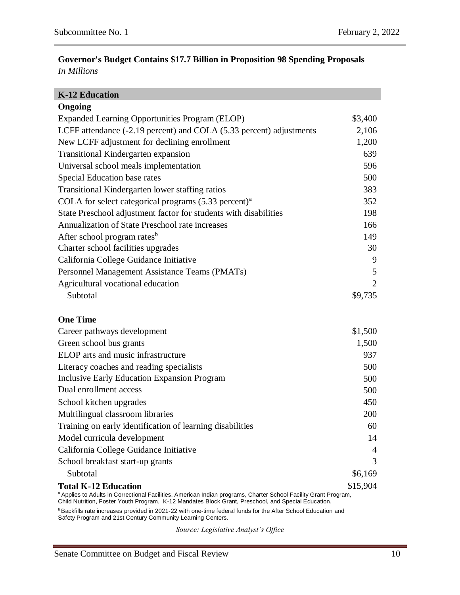# **Governor's Budget Contains \$17.7 Billion in Proposition 98 Spending Proposals** *In Millions*

| <b>K-12 Education</b>                                                                                                                                                                                                   |          |
|-------------------------------------------------------------------------------------------------------------------------------------------------------------------------------------------------------------------------|----------|
| Ongoing                                                                                                                                                                                                                 |          |
| Expanded Learning Opportunities Program (ELOP)                                                                                                                                                                          | \$3,400  |
| LCFF attendance (-2.19 percent) and COLA (5.33 percent) adjustments                                                                                                                                                     | 2,106    |
| New LCFF adjustment for declining enrollment                                                                                                                                                                            | 1,200    |
| Transitional Kindergarten expansion                                                                                                                                                                                     | 639      |
| Universal school meals implementation                                                                                                                                                                                   | 596      |
| Special Education base rates                                                                                                                                                                                            | 500      |
| Transitional Kindergarten lower staffing ratios                                                                                                                                                                         | 383      |
| COLA for select categorical programs $(5.33 \text{ percent})^a$                                                                                                                                                         | 352      |
| State Preschool adjustment factor for students with disabilities                                                                                                                                                        | 198      |
| Annualization of State Preschool rate increases                                                                                                                                                                         | 166      |
| After school program rates <sup>b</sup>                                                                                                                                                                                 | 149      |
| Charter school facilities upgrades                                                                                                                                                                                      | 30       |
| California College Guidance Initiative                                                                                                                                                                                  | 9        |
| Personnel Management Assistance Teams (PMATs)                                                                                                                                                                           | 5        |
| Agricultural vocational education                                                                                                                                                                                       | 2        |
| Subtotal                                                                                                                                                                                                                | \$9,735  |
| <b>One Time</b>                                                                                                                                                                                                         |          |
| Career pathways development                                                                                                                                                                                             | \$1,500  |
| Green school bus grants                                                                                                                                                                                                 | 1,500    |
| ELOP arts and music infrastructure                                                                                                                                                                                      | 937      |
| Literacy coaches and reading specialists                                                                                                                                                                                | 500      |
| Inclusive Early Education Expansion Program                                                                                                                                                                             | 500      |
| Dual enrollment access                                                                                                                                                                                                  | 500      |
| School kitchen upgrades                                                                                                                                                                                                 | 450      |
| Multilingual classroom libraries                                                                                                                                                                                        | 200      |
| Training on early identification of learning disabilities                                                                                                                                                               | 60       |
| Model curricula development                                                                                                                                                                                             | 14       |
| California College Guidance Initiative                                                                                                                                                                                  | 4        |
| School breakfast start-up grants                                                                                                                                                                                        | 3        |
| Subtotal                                                                                                                                                                                                                | \$6,169  |
| <b>Total K-12 Education</b>                                                                                                                                                                                             | \$15,904 |
| a Applies to Adults in Correctional Facilities, American Indian programs, Charter School Facility Grant Program,<br>Child Nutrition, Foster Youth Program, K-12 Mandates Block Grant, Preschool, and Special Education. |          |

**b** Backfills rate increases provided in 2021-22 with one-time federal funds for the After School Education and Safety Program and 21st Century Community Learning Centers.

*Source: Legislative Analyst's Office*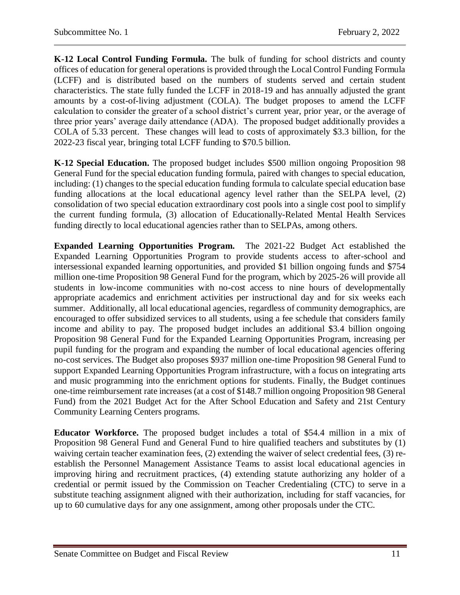**K-12 Local Control Funding Formula.** The bulk of funding for school districts and county offices of education for general operations is provided through the Local Control Funding Formula (LCFF) and is distributed based on the numbers of students served and certain student characteristics. The state fully funded the LCFF in 2018-19 and has annually adjusted the grant amounts by a cost-of-living adjustment (COLA). The budget proposes to amend the LCFF calculation to consider the greater of a school district's current year, prior year, or the average of three prior years' average daily attendance (ADA). The proposed budget additionally provides a COLA of 5.33 percent. These changes will lead to costs of approximately \$3.3 billion, for the 2022-23 fiscal year, bringing total LCFF funding to \$70.5 billion.

**K-12 Special Education.** The proposed budget includes \$500 million ongoing Proposition 98 General Fund for the special education funding formula, paired with changes to special education, including: (1) changes to the special education funding formula to calculate special education base funding allocations at the local educational agency level rather than the SELPA level, (2) consolidation of two special education extraordinary cost pools into a single cost pool to simplify the current funding formula, (3) allocation of Educationally-Related Mental Health Services funding directly to local educational agencies rather than to SELPAs, among others.

**Expanded Learning Opportunities Program.** The 2021-22 Budget Act established the Expanded Learning Opportunities Program to provide students access to after-school and intersessional expanded learning opportunities, and provided \$1 billion ongoing funds and \$754 million one-time Proposition 98 General Fund for the program, which by 2025-26 will provide all students in low-income communities with no-cost access to nine hours of developmentally appropriate academics and enrichment activities per instructional day and for six weeks each summer. Additionally, all local educational agencies, regardless of community demographics, are encouraged to offer subsidized services to all students, using a fee schedule that considers family income and ability to pay. The proposed budget includes an additional \$3.4 billion ongoing Proposition 98 General Fund for the Expanded Learning Opportunities Program, increasing per pupil funding for the program and expanding the number of local educational agencies offering no-cost services. The Budget also proposes \$937 million one-time Proposition 98 General Fund to support Expanded Learning Opportunities Program infrastructure, with a focus on integrating arts and music programming into the enrichment options for students. Finally, the Budget continues one-time reimbursement rate increases (at a cost of \$148.7 million ongoing Proposition 98 General Fund) from the 2021 Budget Act for the After School Education and Safety and 21st Century Community Learning Centers programs.

**Educator Workforce.** The proposed budget includes a total of \$54.4 million in a mix of Proposition 98 General Fund and General Fund to hire qualified teachers and substitutes by (1) waiving certain teacher examination fees, (2) extending the waiver of select credential fees, (3) reestablish the Personnel Management Assistance Teams to assist local educational agencies in improving hiring and recruitment practices, (4) extending statute authorizing any holder of a credential or permit issued by the Commission on Teacher Credentialing (CTC) to serve in a substitute teaching assignment aligned with their authorization, including for staff vacancies, for up to 60 cumulative days for any one assignment, among other proposals under the CTC.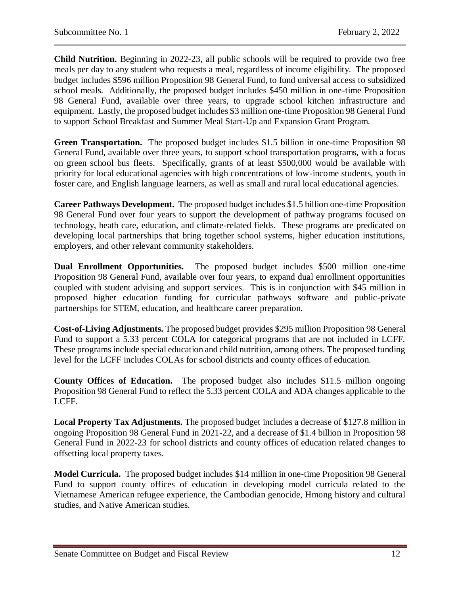**Child Nutrition.** Beginning in 2022-23, all public schools will be required to provide two free meals per day to any student who requests a meal, regardless of income eligibility. The proposed budget includes \$596 million Proposition 98 General Fund, to fund universal access to subsidized school meals. Additionally, the proposed budget includes \$450 million in one-time Proposition 98 General Fund, available over three years, to upgrade school kitchen infrastructure and equipment. Lastly, the proposed budget includes \$3 million one-time Proposition 98 General Fund to support School Breakfast and Summer Meal Start-Up and Expansion Grant Program.

**Green Transportation.** The proposed budget includes \$1.5 billion in one-time Proposition 98 General Fund, available over three years, to support school transportation programs, with a focus on green school bus fleets. Specifically, grants of at least \$500,000 would be available with priority for local educational agencies with high concentrations of low-income students, youth in foster care, and English language learners, as well as small and rural local educational agencies.

**Career Pathways Development.** The proposed budget includes \$1.5 billion one-time Proposition 98 General Fund over four years to support the development of pathway programs focused on technology, heath care, education, and climate-related fields. These programs are predicated on developing local partnerships that bring together school systems, higher education institutions, employers, and other relevant community stakeholders.

**Dual Enrollment Opportunities.** The proposed budget includes \$500 million one-time Proposition 98 General Fund, available over four years, to expand dual enrollment opportunities coupled with student advising and support services. This is in conjunction with \$45 million in proposed higher education funding for curricular pathways software and public-private partnerships for STEM, education, and healthcare career preparation.

**Cost-of-Living Adjustments.** The proposed budget provides \$295 million Proposition 98 General Fund to support a 5.33 percent COLA for categorical programs that are not included in LCFF. These programs include special education and child nutrition, among others. The proposed funding level for the LCFF includes COLAs for school districts and county offices of education.

**County Offices of Education.** The proposed budget also includes \$11.5 million ongoing Proposition 98 General Fund to reflect the 5.33 percent COLA and ADA changes applicable to the LCFF.

**Local Property Tax Adjustments.** The proposed budget includes a decrease of \$127.8 million in ongoing Proposition 98 General Fund in 2021-22, and a decrease of \$1.4 billion in Proposition 98 General Fund in 2022-23 for school districts and county offices of education related changes to offsetting local property taxes.

**Model Curricula.** The proposed budget includes \$14 million in one-time Proposition 98 General Fund to support county offices of education in developing model curricula related to the Vietnamese American refugee experience, the Cambodian genocide, Hmong history and cultural studies, and Native American studies.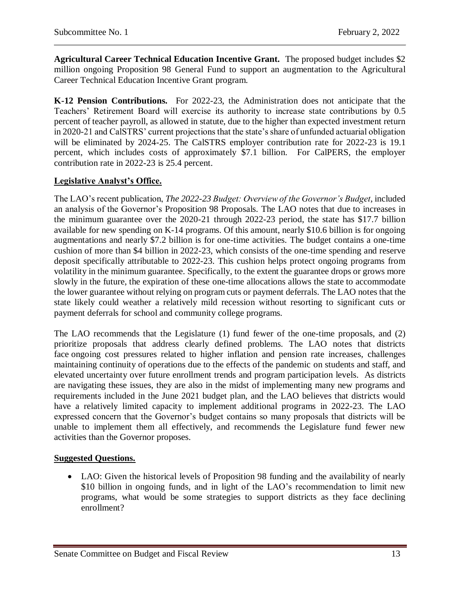**Agricultural Career Technical Education Incentive Grant.** The proposed budget includes \$2 million ongoing Proposition 98 General Fund to support an augmentation to the Agricultural Career Technical Education Incentive Grant program.

**K-12 Pension Contributions.** For 2022-23, the Administration does not anticipate that the Teachers' Retirement Board will exercise its authority to increase state contributions by 0.5 percent of teacher payroll, as allowed in statute, due to the higher than expected investment return in 2020-21 and CalSTRS' current projections that the state's share of unfunded actuarial obligation will be eliminated by 2024-25. The CalSTRS employer contribution rate for 2022-23 is 19.1 percent, which includes costs of approximately \$7.1 billion. For CalPERS, the employer contribution rate in 2022-23 is 25.4 percent.

# **Legislative Analyst's Office.**

The LAO's recent publication, *The 2022-23 Budget: Overview of the Governor's Budget*, included an analysis of the Governor's Proposition 98 Proposals. The LAO notes that due to increases in the minimum guarantee over the 2020-21 through 2022-23 period, the state has \$17.7 billion available for new spending on K-14 programs. Of this amount, nearly \$10.6 billion is for ongoing augmentations and nearly \$7.2 billion is for one-time activities. The budget contains a one-time cushion of more than \$4 billion in 2022-23, which consists of the one-time spending and reserve deposit specifically attributable to 2022-23. This cushion helps protect ongoing programs from volatility in the minimum guarantee. Specifically, to the extent the guarantee drops or grows more slowly in the future, the expiration of these one-time allocations allows the state to accommodate the lower guarantee without relying on program cuts or payment deferrals. The LAO notes that the state likely could weather a relatively mild recession without resorting to significant cuts or payment deferrals for school and community college programs.

The LAO recommends that the Legislature (1) fund fewer of the one-time proposals, and (2) prioritize proposals that address clearly defined problems. The LAO notes that districts face ongoing cost pressures related to higher inflation and pension rate increases, challenges maintaining continuity of operations due to the effects of the pandemic on students and staff, and elevated uncertainty over future enrollment trends and program participation levels. As districts are navigating these issues, they are also in the midst of implementing many new programs and requirements included in the June 2021 budget plan, and the LAO believes that districts would have a relatively limited capacity to implement additional programs in 2022-23. The LAO expressed concern that the Governor's budget contains so many proposals that districts will be unable to implement them all effectively, and recommends the Legislature fund fewer new activities than the Governor proposes.

## **Suggested Questions.**

 LAO: Given the historical levels of Proposition 98 funding and the availability of nearly \$10 billion in ongoing funds, and in light of the LAO's recommendation to limit new programs, what would be some strategies to support districts as they face declining enrollment?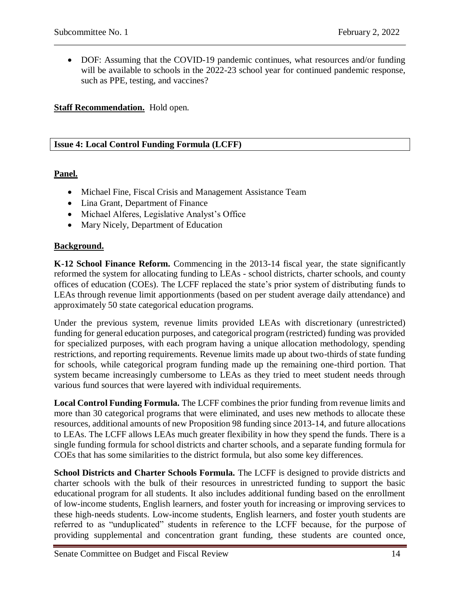• DOF: Assuming that the COVID-19 pandemic continues, what resources and/or funding will be available to schools in the 2022-23 school year for continued pandemic response, such as PPE, testing, and vaccines?

### **Staff Recommendation.** Hold open.

### <span id="page-13-0"></span>**Issue 4: Local Control Funding Formula (LCFF)**

## **Panel.**

- Michael Fine, Fiscal Crisis and Management Assistance Team
- Lina Grant, Department of Finance
- Michael Alferes, Legislative Analyst's Office
- Mary Nicely, Department of Education

#### **Background.**

**K-12 School Finance Reform.** Commencing in the 2013-14 fiscal year, the state significantly reformed the system for allocating funding to LEAs - school districts, charter schools, and county offices of education (COEs). The LCFF replaced the state's prior system of distributing funds to LEAs through revenue limit apportionments (based on per student average daily attendance) and approximately 50 state categorical education programs.

Under the previous system, revenue limits provided LEAs with discretionary (unrestricted) funding for general education purposes, and categorical program (restricted) funding was provided for specialized purposes, with each program having a unique allocation methodology, spending restrictions, and reporting requirements. Revenue limits made up about two-thirds of state funding for schools, while categorical program funding made up the remaining one-third portion. That system became increasingly cumbersome to LEAs as they tried to meet student needs through various fund sources that were layered with individual requirements.

**Local Control Funding Formula.** The LCFF combines the prior funding from revenue limits and more than 30 categorical programs that were eliminated, and uses new methods to allocate these resources, additional amounts of new Proposition 98 funding since 2013-14, and future allocations to LEAs. The LCFF allows LEAs much greater flexibility in how they spend the funds. There is a single funding formula for school districts and charter schools, and a separate funding formula for COEs that has some similarities to the district formula, but also some key differences.

**School Districts and Charter Schools Formula.** The LCFF is designed to provide districts and charter schools with the bulk of their resources in unrestricted funding to support the basic educational program for all students. It also includes additional funding based on the enrollment of low-income students, English learners, and foster youth for increasing or improving services to these high-needs students. Low-income students, English learners, and foster youth students are referred to as "unduplicated" students in reference to the LCFF because, for the purpose of providing supplemental and concentration grant funding, these students are counted once,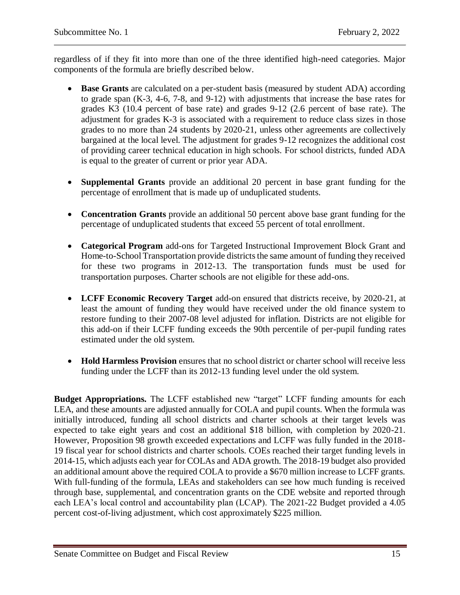regardless of if they fit into more than one of the three identified high-need categories. Major components of the formula are briefly described below.

- **Base Grants** are calculated on a per-student basis (measured by student ADA) according to grade span (K-3, 4-6, 7-8, and 9-12) with adjustments that increase the base rates for grades K3 (10.4 percent of base rate) and grades 9-12 (2.6 percent of base rate). The adjustment for grades K-3 is associated with a requirement to reduce class sizes in those grades to no more than 24 students by 2020-21, unless other agreements are collectively bargained at the local level. The adjustment for grades 9-12 recognizes the additional cost of providing career technical education in high schools. For school districts, funded ADA is equal to the greater of current or prior year ADA.
- **Supplemental Grants** provide an additional 20 percent in base grant funding for the percentage of enrollment that is made up of unduplicated students.
- **Concentration Grants** provide an additional 50 percent above base grant funding for the percentage of unduplicated students that exceed 55 percent of total enrollment.
- **Categorical Program** add-ons for Targeted Instructional Improvement Block Grant and Home-to-School Transportation provide districts the same amount of funding they received for these two programs in 2012-13. The transportation funds must be used for transportation purposes. Charter schools are not eligible for these add-ons.
- **LCFF Economic Recovery Target** add-on ensured that districts receive, by 2020-21, at least the amount of funding they would have received under the old finance system to restore funding to their 2007-08 level adjusted for inflation. Districts are not eligible for this add-on if their LCFF funding exceeds the 90th percentile of per-pupil funding rates estimated under the old system.
- **Hold Harmless Provision** ensures that no school district or charter school will receive less funding under the LCFF than its 2012-13 funding level under the old system.

**Budget Appropriations.** The LCFF established new "target" LCFF funding amounts for each LEA, and these amounts are adjusted annually for COLA and pupil counts. When the formula was initially introduced, funding all school districts and charter schools at their target levels was expected to take eight years and cost an additional \$18 billion, with completion by 2020-21. However, Proposition 98 growth exceeded expectations and LCFF was fully funded in the 2018- 19 fiscal year for school districts and charter schools. COEs reached their target funding levels in 2014-15, which adjusts each year for COLAs and ADA growth. The 2018-19 budget also provided an additional amount above the required COLA to provide a \$670 million increase to LCFF grants. With full-funding of the formula, LEAs and stakeholders can see how much funding is received through base, supplemental, and concentration grants on the CDE website and reported through each LEA's local control and accountability plan (LCAP). The 2021-22 Budget provided a 4.05 percent cost-of-living adjustment, which cost approximately \$225 million.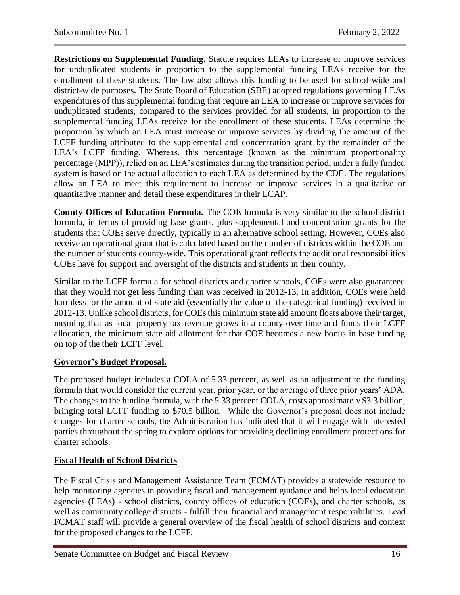**Restrictions on Supplemental Funding.** Statute requires LEAs to increase or improve services for unduplicated students in proportion to the supplemental funding LEAs receive for the enrollment of these students. The law also allows this funding to be used for school-wide and district-wide purposes. The State Board of Education (SBE) adopted regulations governing LEAs expenditures of this supplemental funding that require an LEA to increase or improve services for unduplicated students, compared to the services provided for all students, in proportion to the supplemental funding LEAs receive for the enrollment of these students. LEAs determine the proportion by which an LEA must increase or improve services by dividing the amount of the LCFF funding attributed to the supplemental and concentration grant by the remainder of the LEA's LCFF funding. Whereas, this percentage (known as the minimum proportionality percentage (MPP)), relied on an LEA's estimates during the transition period, under a fully funded system is based on the actual allocation to each LEA as determined by the CDE. The regulations allow an LEA to meet this requirement to increase or improve services in a qualitative or quantitative manner and detail these expenditures in their LCAP.

**County Offices of Education Formula.** The COE formula is very similar to the school district formula, in terms of providing base grants, plus supplemental and concentration grants for the students that COEs serve directly, typically in an alternative school setting. However, COEs also receive an operational grant that is calculated based on the number of districts within the COE and the number of students county-wide. This operational grant reflects the additional responsibilities COEs have for support and oversight of the districts and students in their county.

Similar to the LCFF formula for school districts and charter schools, COEs were also guaranteed that they would not get less funding than was received in 2012-13. In addition, COEs were held harmless for the amount of state aid (essentially the value of the categorical funding) received in 2012-13. Unlike school districts, for COEs this minimum state aid amount floats above their target, meaning that as local property tax revenue grows in a county over time and funds their LCFF allocation, the minimum state aid allotment for that COE becomes a new bonus in base funding on top of the their LCFF level.

## **Governor's Budget Proposal.**

The proposed budget includes a COLA of 5.33 percent, as well as an adjustment to the funding formula that would consider the current year, prior year, or the average of three prior years' ADA. The changes to the funding formula, with the 5.33 percent COLA, costs approximately \$3.3 billion, bringing total LCFF funding to \$70.5 billion. While the Governor's proposal does not include changes for charter schools, the Administration has indicated that it will engage with interested parties throughout the spring to explore options for providing declining enrollment protections for charter schools.

# **Fiscal Health of School Districts**

The Fiscal Crisis and Management Assistance Team (FCMAT) provides a statewide resource to help monitoring agencies in providing fiscal and management guidance and helps local education agencies (LEAs) - school districts, county offices of education (COEs), and charter schools, as well as community college districts - fulfill their financial and management responsibilities. Lead FCMAT staff will provide a general overview of the fiscal health of school districts and context for the proposed changes to the LCFF.